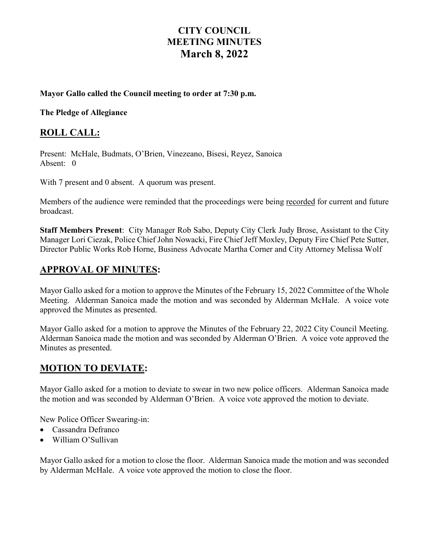# **CITY COUNCIL MEETING MINUTES March 8, 2022**

#### **Mayor Gallo called the Council meeting to order at 7:30 p.m.**

**The Pledge of Allegiance** 

## **ROLL CALL:**

Present: McHale, Budmats, O'Brien, Vinezeano, Bisesi, Reyez, Sanoica Absent: 0

With 7 present and 0 absent. A quorum was present.

Members of the audience were reminded that the proceedings were being recorded for current and future broadcast.

**Staff Members Present**: City Manager Rob Sabo, Deputy City Clerk Judy Brose, Assistant to the City Manager Lori Ciezak, Police Chief John Nowacki, Fire Chief Jeff Moxley, Deputy Fire Chief Pete Sutter, Director Public Works Rob Horne, Business Advocate Martha Corner and City Attorney Melissa Wolf

## **APPROVAL OF MINUTES:**

Mayor Gallo asked for a motion to approve the Minutes of the February 15, 2022 Committee of the Whole Meeting. Alderman Sanoica made the motion and was seconded by Alderman McHale. A voice vote approved the Minutes as presented.

Mayor Gallo asked for a motion to approve the Minutes of the February 22, 2022 City Council Meeting. Alderman Sanoica made the motion and was seconded by Alderman O'Brien. A voice vote approved the Minutes as presented.

## **MOTION TO DEVIATE:**

Mayor Gallo asked for a motion to deviate to swear in two new police officers. Alderman Sanoica made the motion and was seconded by Alderman O'Brien. A voice vote approved the motion to deviate.

New Police Officer Swearing-in:

- Cassandra Defranco
- William O'Sullivan

Mayor Gallo asked for a motion to close the floor. Alderman Sanoica made the motion and was seconded by Alderman McHale. A voice vote approved the motion to close the floor.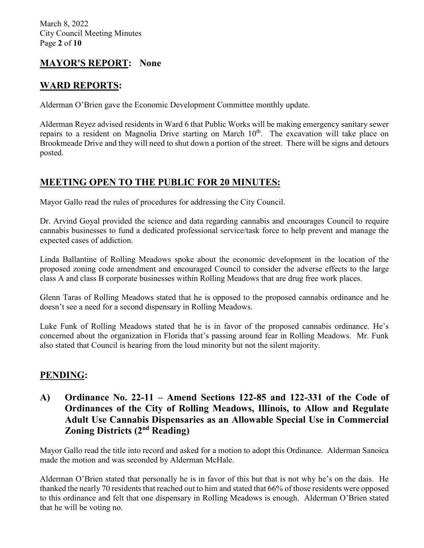# **MAYOR'S REPORT: None**

## **WARD REPORTS:**

Alderman O'Brien gave the Economic Development Committee monthly update.

Alderman Reyez advised residents in Ward 6 that Public Works will be making emergency sanitary sewer repairs to a resident on Magnolia Drive starting on March  $10<sup>th</sup>$ . The excavation will take place on Brookmeade Drive and they will need to shut down a portion of the street. There will be signs and detours posted.

# **MEETING OPEN TO THE PUBLIC FOR 20 MINUTES:**

Mayor Gallo read the rules of procedures for addressing the City Council.

Dr. Arvind Goyal provided the science and data regarding cannabis and encourages Council to require cannabis businesses to fund a dedicated professional service/task force to help prevent and manage the expected cases of addiction.

Linda Ballantine of Rolling Meadows spoke about the economic development in the location of the proposed zoning code amendment and encouraged Council to consider the adverse effects to the large class A and class B corporate businesses within Rolling Meadows that are drug free work places.

Glenn Taras of Rolling Meadows stated that he is opposed to the proposed cannabis ordinance and he doesn't see a need for a second dispensary in Rolling Meadows.

Luke Funk of Rolling Meadows stated that he is in favor of the proposed cannabis ordinance. He's concerned about the organization in Florida that's passing around fear in Rolling Meadows. Mr. Funk also stated that Council is hearing from the loud minority but not the silent majority.

# **PENDING:**

## **A) Ordinance No. 22-11 – Amend Sections 122-85 and 122-331 of the Code of Ordinances of the City of Rolling Meadows, Illinois, to Allow and Regulate Adult Use Cannabis Dispensaries as an Allowable Special Use in Commercial Zoning Districts (2nd Reading)**

Mayor Gallo read the title into record and asked for a motion to adopt this Ordinance. Alderman Sanoica made the motion and was seconded by Alderman McHale.

Alderman O'Brien stated that personally he is in favor of this but that is not why he's on the dais. He thanked the nearly 70 residents that reached out to him and stated that 66% of those residents were opposed to this ordinance and felt that one dispensary in Rolling Meadows is enough. Alderman O'Brien stated that he will be voting no.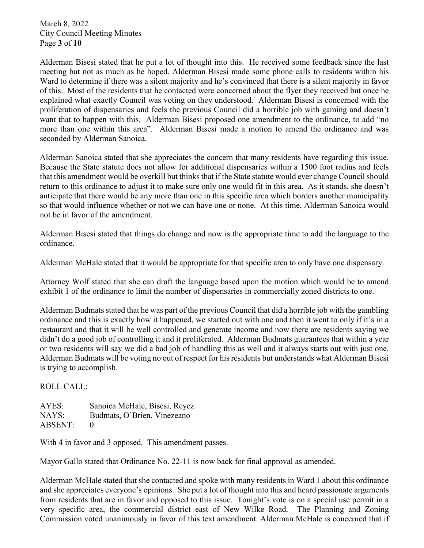March 8, 2022 City Council Meeting Minutes Page **3** of **10**

Alderman Bisesi stated that he put a lot of thought into this. He received some feedback since the last meeting but not as much as he hoped. Alderman Bisesi made some phone calls to residents within his Ward to determine if there was a silent majority and he's convinced that there is a silent majority in favor of this. Most of the residents that he contacted were concerned about the flyer they received but once he explained what exactly Council was voting on they understood. Alderman Bisesi is concerned with the proliferation of dispensaries and feels the previous Council did a horrible job with gaming and doesn't want that to happen with this. Alderman Bisesi proposed one amendment to the ordinance, to add "no more than one within this area". Alderman Bisesi made a motion to amend the ordinance and was seconded by Alderman Sanoica.

Alderman Sanoica stated that she appreciates the concern that many residents have regarding this issue. Because the State statute does not allow for additional dispensaries within a 1500 foot radius and feels that this amendment would be overkill but thinks that if the State statute would ever change Councilshould return to this ordinance to adjust it to make sure only one would fit in this area. As it stands, she doesn't anticipate that there would be any more than one in this specific area which borders another municipality so that would influence whether or not we can have one or none. At this time, Alderman Sanoica would not be in favor of the amendment.

Alderman Bisesi stated that things do change and now is the appropriate time to add the language to the ordinance.

Alderman McHale stated that it would be appropriate for that specific area to only have one dispensary.

Attorney Wolf stated that she can draft the language based upon the motion which would be to amend exhibit 1 of the ordinance to limit the number of dispensaries in commercially zoned districts to one.

Alderman Budmats stated that he was part of the previous Council that did a horrible job with the gambling ordinance and this is exactly how it happened, we started out with one and then it went to only if it's in a restaurant and that it will be well controlled and generate income and now there are residents saying we didn't do a good job of controlling it and it proliferated. Alderman Budmats guarantees that within a year or two residents will say we did a bad job of handling this as well and it always starts out with just one. Alderman Budmats will be voting no out of respect for his residents but understands what Alderman Bisesi is trying to accomplish.

ROLL CALL:

AYES: Sanoica McHale, Bisesi, Reyez NAYS: Budmats, O'Brien, Vinezeano ABSENT: 0

With 4 in favor and 3 opposed. This amendment passes.

Mayor Gallo stated that Ordinance No. 22-11 is now back for final approval as amended.

Alderman McHale stated that she contacted and spoke with many residents in Ward 1 about this ordinance and she appreciates everyone's opinions. She put a lot of thought into this and heard passionate arguments from residents that are in favor and opposed to this issue. Tonight's vote is on a special use permit in a very specific area, the commercial district east of New Wilke Road. The Planning and Zoning Commission voted unanimously in favor of this text amendment. Alderman McHale is concerned that if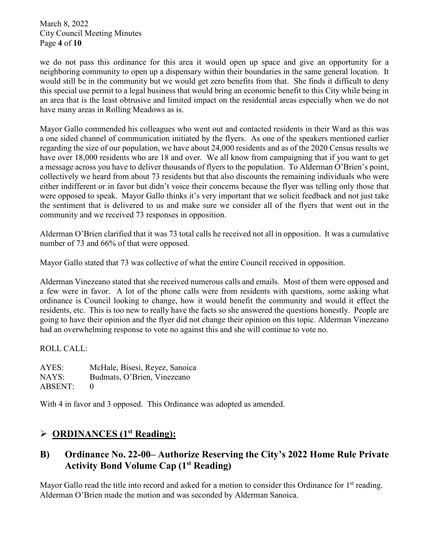March 8, 2022 City Council Meeting Minutes Page **4** of **10**

we do not pass this ordinance for this area it would open up space and give an opportunity for a neighboring community to open up a dispensary within their boundaries in the same general location. It would still be in the community but we would get zero benefits from that. She finds it difficult to deny this special use permit to a legal business that would bring an economic benefit to this City while being in an area that is the least obtrusive and limited impact on the residential areas especially when we do not have many areas in Rolling Meadows as is.

Mayor Gallo commended his colleagues who went out and contacted residents in their Ward as this was a one sided channel of communication initiated by the flyers. As one of the speakers mentioned earlier regarding the size of our population, we have about 24,000 residents and as of the 2020 Census results we have over 18,000 residents who are 18 and over. We all know from campaigning that if you want to get a message across you have to deliver thousands of flyers to the population. To Alderman O'Brien's point, collectively we heard from about 73 residents but that also discounts the remaining individuals who were either indifferent or in favor but didn't voice their concerns because the flyer was telling only those that were opposed to speak. Mayor Gallo thinks it's very important that we solicit feedback and not just take the sentiment that is delivered to us and make sure we consider all of the flyers that went out in the community and we received 73 responses in opposition.

Alderman O'Brien clarified that it was 73 total calls he received not all in opposition. It was a cumulative number of 73 and 66% of that were opposed.

Mayor Gallo stated that 73 was collective of what the entire Council received in opposition.

Alderman Vinezeano stated that she received numerous calls and emails. Most of them were opposed and a few were in favor. A lot of the phone calls were from residents with questions, some asking what ordinance is Council looking to change, how it would benefit the community and would it effect the residents, etc. This is too new to really have the facts so she answered the questions honestly. People are going to have their opinion and the flyer did not change their opinion on this topic. Alderman Vinezeano had an overwhelming response to vote no against this and she will continue to vote no.

ROLL CALL:

AYES: McHale, Bisesi, Reyez, Sanoica NAYS: Budmats, O'Brien, Vinezeano ABSENT: 0

With 4 in favor and 3 opposed. This Ordinance was adopted as amended.

# **ORDINANCES (1st Reading):**

# **B) Ordinance No. 22-00– Authorize Reserving the City's 2022 Home Rule Private Activity Bond Volume Cap (1st Reading)**

Mayor Gallo read the title into record and asked for a motion to consider this Ordinance for 1<sup>st</sup> reading. Alderman O'Brien made the motion and was seconded by Alderman Sanoica.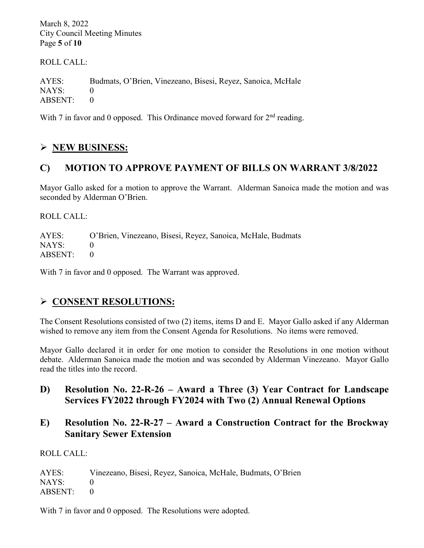March 8, 2022 City Council Meeting Minutes Page **5** of **10**

ROLL CALL:

AYES: Budmats, O'Brien, Vinezeano, Bisesi, Reyez, Sanoica, McHale NAYS: 0 ABSENT: 0

With 7 in favor and 0 opposed. This Ordinance moved forward for  $2<sup>nd</sup>$  reading.

# **NEW BUSINESS:**

# **C) MOTION TO APPROVE PAYMENT OF BILLS ON WARRANT 3/8/2022**

Mayor Gallo asked for a motion to approve the Warrant. Alderman Sanoica made the motion and was seconded by Alderman O'Brien.

ROLL CALL:

AYES: O'Brien, Vinezeano, Bisesi, Reyez, Sanoica, McHale, Budmats  $NAYS: 0$ ABSENT: 0

With 7 in favor and 0 opposed. The Warrant was approved.

# **CONSENT RESOLUTIONS:**

The Consent Resolutions consisted of two (2) items, items D and E. Mayor Gallo asked if any Alderman wished to remove any item from the Consent Agenda for Resolutions. No items were removed.

Mayor Gallo declared it in order for one motion to consider the Resolutions in one motion without debate. Alderman Sanoica made the motion and was seconded by Alderman Vinezeano. Mayor Gallo read the titles into the record.

- **D) Resolution No. 22-R-26 – Award a Three (3) Year Contract for Landscape Services FY2022 through FY2024 with Two (2) Annual Renewal Options**
- **E) Resolution No. 22-R-27 – Award a Construction Contract for the Brockway Sanitary Sewer Extension**

ROLL CALL:

| AYES:     | Vinezeano, Bisesi, Reyez, Sanoica, McHale, Budmats, O'Brien |
|-----------|-------------------------------------------------------------|
| NAYS:     |                                                             |
| ABSENT: 0 |                                                             |

With 7 in favor and 0 opposed. The Resolutions were adopted.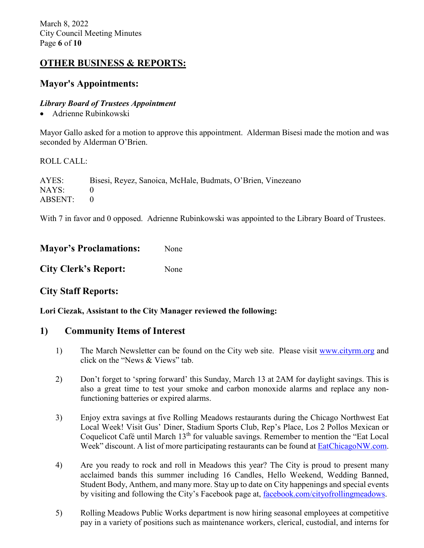March 8, 2022 City Council Meeting Minutes Page **6** of **10**

# **OTHER BUSINESS & REPORTS:**

### **Mayor's Appointments:**

#### *Library Board of Trustees Appointment*

• Adrienne Rubinkowski

Mayor Gallo asked for a motion to approve this appointment. Alderman Bisesi made the motion and was seconded by Alderman O'Brien.

#### ROLL CALL:

AYES: Bisesi, Reyez, Sanoica, McHale, Budmats, O'Brien, Vinezeano NAYS: 0 ABSENT: 0

With 7 in favor and 0 opposed. Adrienne Rubinkowski was appointed to the Library Board of Trustees.

| <b>Mayor's Proclamations:</b> | None |
|-------------------------------|------|
| <b>City Clerk's Report:</b>   | None |

### **City Staff Reports:**

**Lori Ciezak, Assistant to the City Manager reviewed the following:** 

### **1) Community Items of Interest**

- 1) The March Newsletter can be found on the City web site. Please visit [www.cityrm.org](http://www.cityrm.org/) and click on the "News & Views" tab.
- 2) Don't forget to 'spring forward' this Sunday, March 13 at 2AM for daylight savings. This is also a great time to test your smoke and carbon monoxide alarms and replace any nonfunctioning batteries or expired alarms.
- 3) Enjoy extra savings at five Rolling Meadows restaurants during the Chicago Northwest Eat Local Week! Visit Gus' Diner, Stadium Sports Club, Rep's Place, Los 2 Pollos Mexican or Coquelicot Café until March  $13<sup>th</sup>$  for valuable savings. Remember to mention the "Eat Local Week" discount. A list of more participating restaurants can be found at [EatChicagoNW.com.](http://www.eatchicagonw.com/)
- 4) Are you ready to rock and roll in Meadows this year? The City is proud to present many acclaimed bands this summer including 16 Candles, Hello Weekend, Wedding Banned, Student Body, Anthem, and many more. Stay up to date on City happenings and special events by visiting and following the City's Facebook page at, [facebook.com/cityofrollingmeadows.](http://www.facebook.com/cityofrollingmeadows)
- 5) Rolling Meadows Public Works department is now hiring seasonal employees at competitive pay in a variety of positions such as maintenance workers, clerical, custodial, and interns for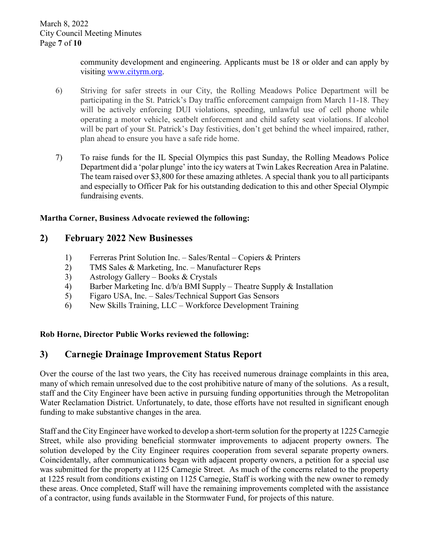community development and engineering. Applicants must be 18 or older and can apply by visiting [www.cityrm.org.](http://www.cityrm.org/)

- 6) Striving for safer streets in our City, the Rolling Meadows Police Department will be participating in the St. Patrick's Day traffic enforcement campaign from March 11-18. They will be actively enforcing DUI violations, speeding, unlawful use of cell phone while operating a motor vehicle, seatbelt enforcement and child safety seat violations. If alcohol will be part of your St. Patrick's Day festivities, don't get behind the wheel impaired, rather, plan ahead to ensure you have a safe ride home.
- 7) To raise funds for the IL Special Olympics this past Sunday, the Rolling Meadows Police Department did a 'polar plunge' into the icy waters at Twin Lakes Recreation Area in Palatine. The team raised over \$3,800 for these amazing athletes. A special thank you to all participants and especially to Officer Pak for his outstanding dedication to this and other Special Olympic fundraising events.

### **Martha Corner, Business Advocate reviewed the following:**

### **2) February 2022 New Businesses**

- 1) Ferreras Print Solution Inc. Sales/Rental Copiers & Printers
- 2) TMS Sales & Marketing, Inc. Manufacturer Reps
- 3) Astrology Gallery Books & Crystals
- 4) Barber Marketing Inc. d/b/a BMI Supply Theatre Supply & Installation
- 5) Figaro USA, Inc. Sales/Technical Support Gas Sensors
- 6) New Skills Training, LLC Workforce Development Training

### **Rob Horne, Director Public Works reviewed the following:**

## **3) Carnegie Drainage Improvement Status Report**

Over the course of the last two years, the City has received numerous drainage complaints in this area, many of which remain unresolved due to the cost prohibitive nature of many of the solutions. As a result, staff and the City Engineer have been active in pursuing funding opportunities through the Metropolitan Water Reclamation District. Unfortunately, to date, those efforts have not resulted in significant enough funding to make substantive changes in the area.

Staff and the City Engineer have worked to develop a short-term solution for the property at 1225 Carnegie Street, while also providing beneficial stormwater improvements to adjacent property owners. The solution developed by the City Engineer requires cooperation from several separate property owners. Coincidentally, after communications began with adjacent property owners, a petition for a special use was submitted for the property at 1125 Carnegie Street. As much of the concerns related to the property at 1225 result from conditions existing on 1125 Carnegie, Staff is working with the new owner to remedy these areas. Once completed, Staff will have the remaining improvements completed with the assistance of a contractor, using funds available in the Stormwater Fund, for projects of this nature.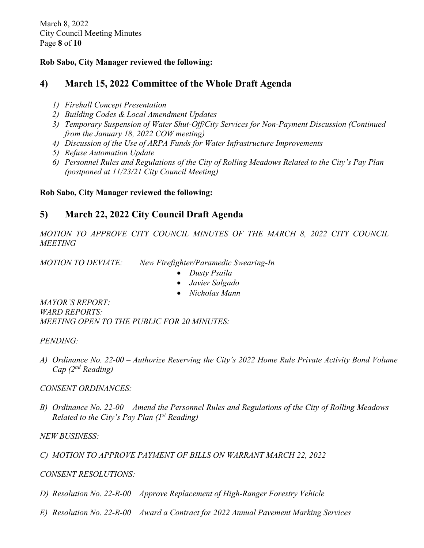March 8, 2022 City Council Meeting Minutes Page **8** of **10**

### **Rob Sabo, City Manager reviewed the following:**

## **4) March 15, 2022 Committee of the Whole Draft Agenda**

- *1) Firehall Concept Presentation*
- *2) Building Codes & Local Amendment Updates*
- *3) Temporary Suspension of Water Shut-Off/City Services for Non-Payment Discussion (Continued from the January 18, 2022 COW meeting)*
- *4) Discussion of the Use of ARPA Funds for Water Infrastructure Improvements*
- *5) Refuse Automation Update*
- *6) Personnel Rules and Regulations of the City of Rolling Meadows Related to the City's Pay Plan (postponed at 11/23/21 City Council Meeting)*

### **Rob Sabo, City Manager reviewed the following:**

## **5) March 22, 2022 City Council Draft Agenda**

*MOTION TO APPROVE CITY COUNCIL MINUTES OF THE MARCH 8, 2022 CITY COUNCIL MEETING* 

*MOTION TO DEVIATE: New Firefighter/Paramedic Swearing-In* 

- *Dusty Psaila*
- *Javier Salgado*
- *Nicholas Mann*

*MAYOR'S REPORT: WARD REPORTS: MEETING OPEN TO THE PUBLIC FOR 20 MINUTES:* 

*PENDING:* 

*A) Ordinance No. 22-00 – Authorize Reserving the City's 2022 Home Rule Private Activity Bond Volume Cap (2nd Reading)*

*CONSENT ORDINANCES:* 

*B) Ordinance No. 22-00 – Amend the Personnel Rules and Regulations of the City of Rolling Meadows Related to the City's Pay Plan (1st Reading)* 

*NEW BUSINESS:*

*C) MOTION TO APPROVE PAYMENT OF BILLS ON WARRANT MARCH 22, 2022*

### *CONSENT RESOLUTIONS:*

- *D) Resolution No. 22-R-00 – Approve Replacement of High-Ranger Forestry Vehicle*
- *E) Resolution No. 22-R-00 – Award a Contract for 2022 Annual Pavement Marking Services*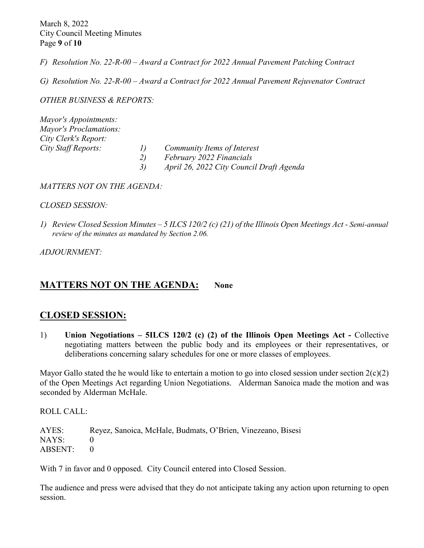March 8, 2022 City Council Meeting Minutes Page **9** of **10**

*F) Resolution No. 22-R-00 – Award a Contract for 2022 Annual Pavement Patching Contract* 

*G) Resolution No. 22-R-00 – Award a Contract for 2022 Annual Pavement Rejuvenator Contract* 

*OTHER BUSINESS & REPORTS:* 

*Mayor's Appointments: Mayor's Proclamations: City Clerk's Report: City Staff Reports: 1) Community Items of Interest 2) February 2022 Financials 3) April 26, 2022 City Council Draft Agenda*

*MATTERS NOT ON THE AGENDA:*

#### *CLOSED SESSION:*

*1) Review Closed Session Minutes – 5 ILCS 120/2 (c) (21) of the Illinois Open Meetings Act - Semi-annual review of the minutes as mandated by Section 2.06.*

*ADJOURNMENT:* 

### **MATTERS NOT ON THE AGENDA:** None

### **CLOSED SESSION:**

1) **Union Negotiations – 5ILCS 120/2 (c) (2) of the Illinois Open Meetings Act -** Collective negotiating matters between the public body and its employees or their representatives, or deliberations concerning salary schedules for one or more classes of employees.

Mayor Gallo stated the he would like to entertain a motion to go into closed session under section  $2(c)(2)$ of the Open Meetings Act regarding Union Negotiations. Alderman Sanoica made the motion and was seconded by Alderman McHale.

ROLL CALL:

AYES: Reyez, Sanoica, McHale, Budmats, O'Brien, Vinezeano, Bisesi NAYS: 0 ABSENT: 0

With 7 in favor and 0 opposed. City Council entered into Closed Session.

The audience and press were advised that they do not anticipate taking any action upon returning to open session.